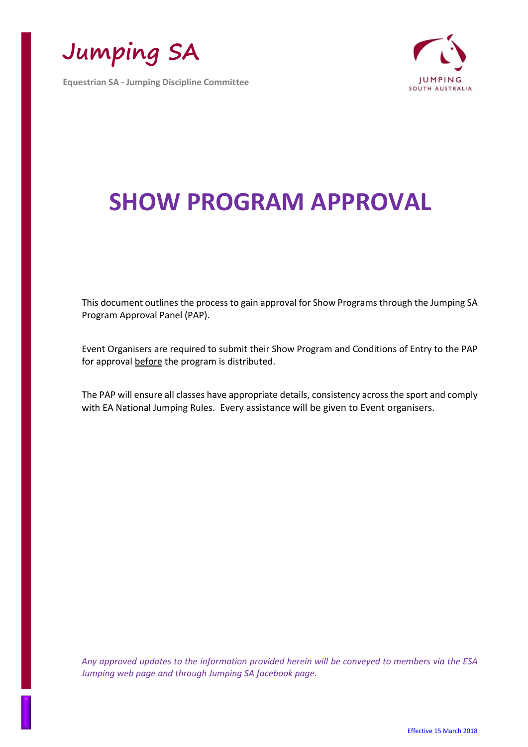**Jumping SA**

**Equestrian SA - Jumping Discipline Committee**



# **SHOW PROGRAM APPROVAL**

This document outlines the process to gain approval for Show Programs through the Jumping SA Program Approval Panel (PAP).

Event Organisers are required to submit their Show Program and Conditions of Entry to the PAP for approval before the program is distributed.

The PAP will ensure all classes have appropriate details, consistency across the sport and comply with EA National Jumping Rules. Every assistance will be given to Event organisers.

*Any approved updates to the information provided herein will be conveyed to members via the ESA Jumping web page and through Jumping SA facebook page.*